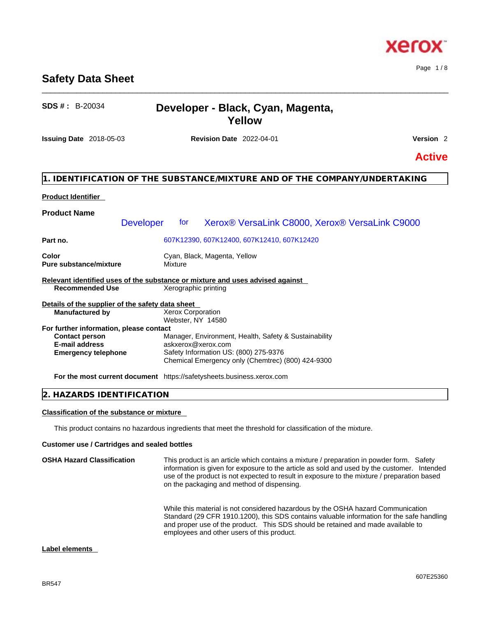## **Safety Data Sheet**

## **SDS # :** B-20034 **Developer - Black, Cyan, Magenta, Yellow**

\_\_\_\_\_\_\_\_\_\_\_\_\_\_\_\_\_\_\_\_\_\_\_\_\_\_\_\_\_\_\_\_\_\_\_\_\_\_\_\_\_\_\_\_\_\_\_\_\_\_\_\_\_\_\_\_\_\_\_\_\_\_\_\_\_\_\_\_\_\_\_\_\_\_\_\_\_\_\_\_\_\_\_\_\_\_\_\_\_\_\_\_\_\_

**Issuing Date** 2018-05-03 **Revision Date** 2022-04-01 **Version** 2

## **Active**

#### **1. IDENTIFICATION OF THE SUBSTANCE/MIXTURE AND OF THE COMPANY/UNDERTAKING**

#### **Product Identifier**

| <b>Product Name</b>                              |                                                                                            |
|--------------------------------------------------|--------------------------------------------------------------------------------------------|
|                                                  | Xerox® VersaLink C8000, Xerox® VersaLink C9000<br>for<br><b>Developer</b>                  |
| Part no.                                         | 607K12390, 607K12400, 607K12410, 607K12420                                                 |
| Color<br><b>Pure substance/mixture</b>           | Cyan, Black, Magenta, Yellow<br>Mixture                                                    |
|                                                  | Relevant identified uses of the substance or mixture and uses advised against              |
| <b>Recommended Use</b>                           | Xerographic printing                                                                       |
| Details of the supplier of the safety data sheet |                                                                                            |
| <b>Manufactured by</b>                           | <b>Xerox Corporation</b><br>Webster, NY 14580                                              |
| For further information, please contact          |                                                                                            |
| <b>Contact person</b>                            | Manager, Environment, Health, Safety & Sustainability                                      |
| <b>E-mail address</b>                            | askxerox@xerox.com                                                                         |
| <b>Emergency telephone</b>                       | Safety Information US: (800) 275-9376<br>Chemical Emergency only (Chemtrec) (800) 424-9300 |
|                                                  | <b>For the most current document</b> https://safetysheets.business.xerox.com               |

#### **2. HAZARDS IDENTIFICATION**

#### **Classification of the substance or mixture**

This product contains no hazardous ingredients that meet the threshold for classification of the mixture.

#### **Customer use / Cartridges and sealed bottles**

| <b>OSHA Hazard Classification</b> | This product is an article which contains a mixture / preparation in powder form. Safety<br>information is given for exposure to the article as sold and used by the customer. Intended<br>use of the product is not expected to result in exposure to the mixture / preparation based<br>on the packaging and method of dispensing. |
|-----------------------------------|--------------------------------------------------------------------------------------------------------------------------------------------------------------------------------------------------------------------------------------------------------------------------------------------------------------------------------------|
|                                   | While this material is not considered hazardous by the OSHA hazard Communication<br>Standard (29 CFR 1910.1200), this SDS contains valuable information for the safe handling<br>and proper use of the product. This SDS should be retained and made available to<br>employees and other users of this product.                      |

#### **Label elements**



Page 1 / 8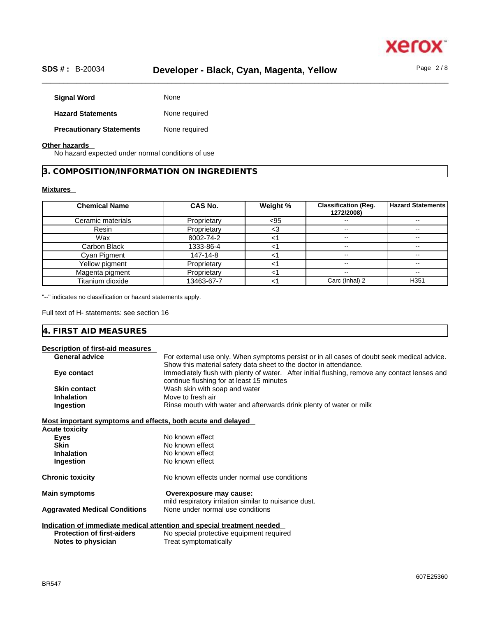

### \_\_\_\_\_\_\_\_\_\_\_\_\_\_\_\_\_\_\_\_\_\_\_\_\_\_\_\_\_\_\_\_\_\_\_\_\_\_\_\_\_\_\_\_\_\_\_\_\_\_\_\_\_\_\_\_\_\_\_\_\_\_\_\_\_\_\_\_\_\_\_\_\_\_\_\_\_\_\_\_\_\_\_\_\_\_\_\_\_\_\_\_\_\_ **SDS # :** B-20034 **Developer - Black, Cyan, Magenta, Yellow** Page 2 / 8

Signal Word **None Hazard Statements** None required **Precautionary Statements** None required

#### **Other hazards**

No hazard expected under normal conditions of use

**3. COMPOSITION/INFORMATION ON INGREDIENTS** 

#### **Mixtures**

| <b>Chemical Name</b> | <b>CAS No.</b> | Weight % | <b>Classification (Reg.</b><br>1272/2008) | <b>Hazard Statements</b> |
|----------------------|----------------|----------|-------------------------------------------|--------------------------|
| Ceramic materials    | Proprietary    | < 95     | --                                        | $\overline{\phantom{m}}$ |
| Resin                | Proprietary    | <3       | --                                        | --                       |
| Wax                  | 8002-74-2      |          | --                                        | --                       |
| Carbon Black         | 1333-86-4      |          | $- -$                                     | --                       |
| Cyan Pigment         | 147-14-8       |          | $- -$                                     | $- -$                    |
| Yellow pigment       | Proprietary    |          | $- -$                                     | $\overline{\phantom{m}}$ |
| Magenta pigment      | Proprietary    |          | --                                        | $- -$                    |
| Titanium dioxide     | 13463-67-7     |          | Carc (Inhal) 2                            | H <sub>351</sub>         |

"--" indicates no classification or hazard statements apply.

Full text of H- statements: see section 16

| $\sim$ $\sim$ $\sim$<br>IЛ<br>∽<br>the contract of the contract of the contract of the contract of the contract of the contract of the contract of |  |  |
|----------------------------------------------------------------------------------------------------------------------------------------------------|--|--|
|                                                                                                                                                    |  |  |

| Description of first-aid measures                           |                                                                                               |
|-------------------------------------------------------------|-----------------------------------------------------------------------------------------------|
| <b>General advice</b>                                       | For external use only. When symptoms persist or in all cases of doubt seek medical advice.    |
|                                                             | Show this material safety data sheet to the doctor in attendance.                             |
| Eye contact                                                 | Immediately flush with plenty of water. After initial flushing, remove any contact lenses and |
|                                                             | continue flushing for at least 15 minutes                                                     |
| <b>Skin contact</b>                                         | Wash skin with soap and water                                                                 |
| <b>Inhalation</b>                                           | Move to fresh air                                                                             |
| Ingestion                                                   | Rinse mouth with water and afterwards drink plenty of water or milk                           |
|                                                             |                                                                                               |
| Most important symptoms and effects, both acute and delayed |                                                                                               |
| <b>Acute toxicity</b>                                       |                                                                                               |
| <b>Eyes</b>                                                 | No known effect                                                                               |
| <b>Skin</b>                                                 | No known effect                                                                               |
| <b>Inhalation</b>                                           | No known effect                                                                               |
| Ingestion                                                   | No known effect                                                                               |
| <b>Chronic toxicity</b>                                     | No known effects under normal use conditions                                                  |
| <b>Main symptoms</b>                                        | Overexposure may cause:                                                                       |
|                                                             | mild respiratory irritation similar to nuisance dust.                                         |
| <b>Aggravated Medical Conditions</b>                        | None under normal use conditions                                                              |
|                                                             |                                                                                               |
|                                                             | Indication of immediate medical attention and special treatment needed                        |
| <b>Protection of first-aiders</b>                           | No special protective equipment required                                                      |
| Notes to physician                                          | Treat symptomatically                                                                         |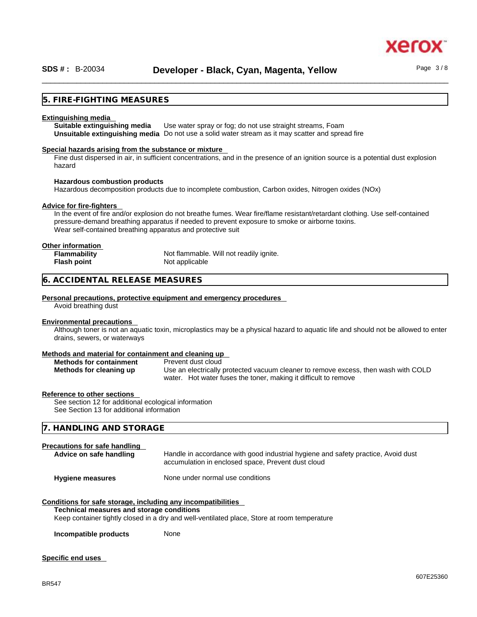#### **5. FIRE-FIGHTING MEASURES**

#### **Extinguishing media**

**Suitable extinguishing media** Use water spray or fog; do not use straight streams, Foam **Unsuitable extinguishing media** Do not use a solid water stream as it may scatterand spread fire

#### **Special hazards arising from the substance or mixture**

Fine dust dispersed in air, in sufficient concentrations, and in the presence of an ignition source is a potential dust explosion hazard

#### **Hazardous combustion products**

Hazardous decomposition products due to incomplete combustion, Carbon oxides, Nitrogen oxides (NOx)

#### **Advice for fire-fighters**

In the event of fire and/or explosion do not breathe fumes. Wear fire/flame resistant/retardant clothing. Use self-contained pressure-demand breathing apparatus if needed to prevent exposure to smoke or airborne toxins. Wear self-contained breathing apparatus and protective suit

#### **Other information**

| <b>Flammability</b> | Not flammable. Will not readily ignite. |
|---------------------|-----------------------------------------|
| Flash point         | Not applicable                          |

#### **6. ACCIDENTAL RELEASE MEASURES**

#### **Personal precautions, protective equipment and emergency procedures**

Avoid breathing dust

#### **Environmental precautions**

Although toner is not an aquatic toxin, microplastics may be a physical hazard to aquatic life and should not be allowed to enter drains, sewers, or waterways

#### **Methods and material for containment and cleaning up**

| <b>Methods for containment</b> | Prevent dust cloud                                                                 |
|--------------------------------|------------------------------------------------------------------------------------|
| Methods for cleaning up        | Use an electrically protected vacuum cleaner to remove excess, then wash with COLD |
|                                | water. Hot water fuses the toner, making it difficult to remove                    |

#### **Reference to other sections**

See section 12 for additional ecological information See Section 13 for additional information

#### **7. HANDLING AND STORAGE**

#### **Precautions for safe handling**

| Advice on safe handling | Handle in accordance with good industrial hygiene and safety practice, Avoid dust<br>accumulation in enclosed space, Prevent dust cloud |
|-------------------------|-----------------------------------------------------------------------------------------------------------------------------------------|
| <b>Hygiene measures</b> | None under normal use conditions                                                                                                        |

#### **Conditions for safe storage, including any incompatibilities**

#### **Technical measures and storage conditions**

Keep container tightly closed in a dry and well-ventilated place, Store at room temperature

**Incompatible products** None

#### **Specific end uses**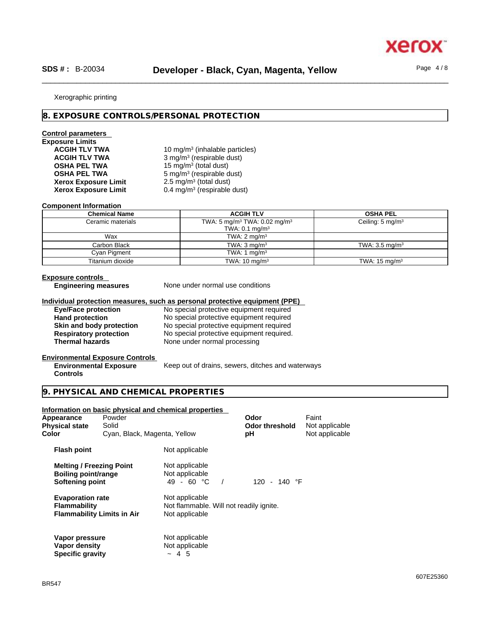xerc

#### Xerographic printing

#### **8. EXPOSURE CONTROLS/PERSONAL PROTECTION**

#### **Control parameters**

# **Exposure Limits**

ACGIH TLV TWA **10 mg/m<sup>3</sup> (inhalable particles) ACGIH TLV TWA** 3 mg/m<sup>3</sup> (respirable dust) **OSHA PEL TWA** 15 mg/m<sup>3</sup> (total dust) **OSHA PEL TWA** 5 mg/m<sup>3</sup> (respirable dust)  $2.5 \text{ mg/m}^3$  (total dust) **Xerox Exposure Limit** 0.4 mg/m<sup>3</sup> (respirable dust)

#### **Component Information**

**Xerox Exposure Limit<br>Xerox Exposure Limit** 

| <b>Chemical Name</b> | <b>ACGIH TLV</b>                                     | <b>OSHA PEL</b>             |
|----------------------|------------------------------------------------------|-----------------------------|
| Ceramic materials    | TWA: 5 mg/m <sup>3</sup> TWA: 0.02 mg/m <sup>3</sup> | Ceiling: $5 \text{ mg/m}^3$ |
|                      | TWA: $0.1 \text{ mg/m}^3$                            |                             |
| Wax                  | TWA: $2 \text{ mg/m}^3$                              |                             |
| Carbon Black         | TWA: $3 \text{ mg/m}^3$                              | TWA: $3.5 \text{ mg/m}^3$   |
| Cyan Pigment         | TWA: 1 $mq/m3$                                       |                             |
| Titanium dioxide     | TWA: $10 \text{ mg/m}^3$                             | TWA: $15 \text{ mg/m}^3$    |

#### **Exposure controls**

**Engineering measures** None under normal use conditions

#### **Individual protection measures, such as personal protective equipment (PPE)**

**Eye/Face protection**<br> **Example 10** No special protective equipment required<br>
No special protective equipment required **Hand protection**<br> **Hand protection**<br> **Skin and body protection**<br>
No special protective equipment required **Skin and body protection**<br>
No special protective equipment required<br>
No special protective equipment required. **Respiratory protection** No special protective equipment required. **Thermal hazards** None under normal processing

#### **Environmental Exposure Controls Environmental Exposure**

Keep out of drains, sewers, ditches and waterways

#### **Controls**

#### **9. PHYSICAL AND CHEMICAL PROPERTIES**

#### **Information on basic physical and chemical properties**

| Appearance<br><b>Physical state</b><br>Color                              | Powder<br>Solid<br>Cyan, Black, Magenta, Yellow |                                                                             | Odor<br><b>Odor threshold</b><br>рH | Faint<br>Not applicable<br>Not applicable |  |
|---------------------------------------------------------------------------|-------------------------------------------------|-----------------------------------------------------------------------------|-------------------------------------|-------------------------------------------|--|
| <b>Flash point</b>                                                        |                                                 | Not applicable                                                              |                                     |                                           |  |
| <b>Melting / Freezing Point</b><br>Boiling point/range<br>Softening point |                                                 | Not applicable<br>Not applicable<br>49 - 60 °C                              | 120 - 140 $\degree$ F               |                                           |  |
| <b>Evaporation rate</b><br><b>Flammability</b>                            | <b>Flammability Limits in Air</b>               | Not applicable<br>Not flammable. Will not readily ignite.<br>Not applicable |                                     |                                           |  |
| Vapor pressure<br>Vapor density<br><b>Specific gravity</b>                |                                                 | Not applicable<br>Not applicable<br>~1.5                                    |                                     |                                           |  |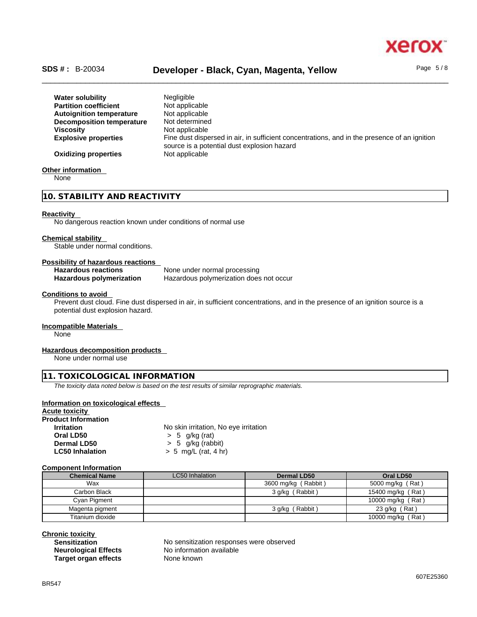

#### \_\_\_\_\_\_\_\_\_\_\_\_\_\_\_\_\_\_\_\_\_\_\_\_\_\_\_\_\_\_\_\_\_\_\_\_\_\_\_\_\_\_\_\_\_\_\_\_\_\_\_\_\_\_\_\_\_\_\_\_\_\_\_\_\_\_\_\_\_\_\_\_\_\_\_\_\_\_\_\_\_\_\_\_\_\_\_\_\_\_\_\_\_\_ **SDS # :** B-20034 **Developer - Black, Cyan, Magenta, Yellow** Page 5 / 8

**Water solubility** Negligible **Partition coefficient** Not applicable **Autoignition temperature** Not applicable<br>**Decomposition temperature** Not determined **Decomposition temperature Viscosity Not applicable Explosive properties** Fine dust dispersed in air, in sufficient concentrations, and in the presence of an ignition source is a potential dust explosion hazard **Oxidizing properties** Not applicable

#### **Other information**

None

#### **10. STABILITY AND REACTIVITY**

#### **Reactivity**

No dangerous reaction known under conditions of normal use

#### **Chemical stability**

Stable under normal conditions.

#### **Possibility of hazardous reactions**

| <b>Hazardous reactions</b> | None under normal processing            |
|----------------------------|-----------------------------------------|
| Hazardous polymerization   | Hazardous polymerization does not occur |

#### **Conditions to avoid**

Prevent dust cloud. Fine dust dispersed in air, in sufficient concentrations, and in the presence of an ignition source is a potential dust explosion hazard.

#### **Incompatible Materials**

None

#### **Hazardous decomposition products**

None under normal use

#### **11. TOXICOLOGICAL INFORMATION**

*The toxicity data noted below is based on the test results of similar reprographic materials.* 

#### **Information on toxicological effects**

**Acute toxicity Product Information Irritation** No skin irritation, No eye irritation **Oral LD50** > 5 g/kg (rat) **Dermal LD50**  $\rightarrow$  5 g/kg (rabbit)<br> **LC50 Inhalation**  $\rightarrow$  5 mg/L (rat. 4 h **LC50 Inhalation** > 5 mg/L (rat, 4 hr)

#### **Component Information**

| <b>Chemical Name</b> | <b>LC50</b> Inhalation | Dermal LD50         | Oral LD50         |
|----------------------|------------------------|---------------------|-------------------|
| Wax                  |                        | 3600 mg/kg (Rabbit) | 5000 mg/kg (Rat)  |
| Carbon Black         |                        | 3 g/kg (Rabbit)     | 15400 mg/kg (Rat) |
| Cyan Pigment         |                        |                     | 10000 mg/kg (Rat) |
| Magenta pigment      |                        | 3 g/kg (Rabbit)     | 23 g/kg (Rat)     |
| Titanium dioxide     |                        |                     | 10000 mg/kg (Rat) |

**Chronic toxicity Target organ effects** None known

No sensitization responses were observed **Neurological Effects** No information available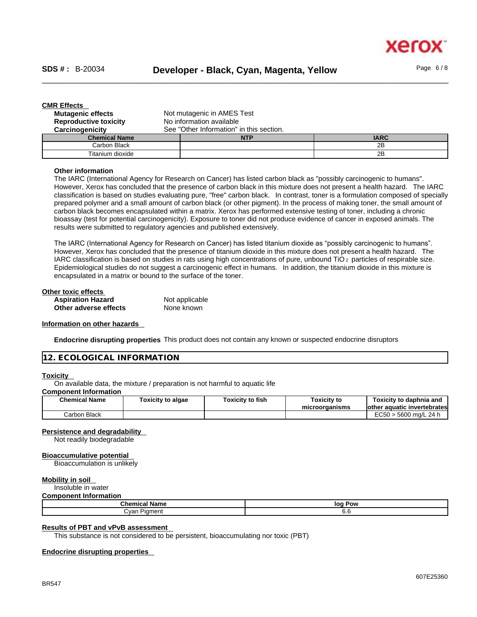| <b>CMR Effects</b>           |                                          |            |             |
|------------------------------|------------------------------------------|------------|-------------|
| <b>Mutagenic effects</b>     | Not mutagenic in AMES Test               |            |             |
| <b>Reproductive toxicity</b> | No information available                 |            |             |
| Carcinogenicity              | See "Other Information" in this section. |            |             |
| <b>Chemical Name</b>         |                                          | <b>NTP</b> | <b>IARC</b> |
| Carbon Black                 |                                          |            | 2B          |
| Titanium dioxide             |                                          |            | 2Β          |

#### **Other information**

The IARC (International Agency for Research on Cancer) has listed carbon black as "possibly carcinogenic to humans". However, Xerox has concluded that the presence of carbon black in this mixture does not present a health hazard. The IARC classification is based on studies evaluating pure, "free" carbon black. In contrast, toner is a formulation composed of specially prepared polymer and a small amount of carbon black (or other pigment). In the process of making toner, the small amount of carbon black becomes encapsulated within a matrix. Xerox has performed extensive testing of toner, including a chronic bioassay (test for potential carcinogenicity). Exposure to toner did not produce evidence of cancer in exposed animals. The results were submitted to regulatory agencies and published extensively.

The IARC (International Agency for Research on Cancer) has listed titanium dioxide as "possibly carcinogenic to humans". However, Xerox has concluded that the presence of titanium dioxide in this mixture does not present a health hazard. The IARC classification is based on studies in rats using high concentrations of pure, unbound TiO 2 particles of respirable size. Epidemiological studies do not suggest a carcinogenic effect in humans. In addition, the titanium dioxide in this mixture is encapsulated in a matrix or bound to the surface of the toner.

| Other toxic effects      |                |  |
|--------------------------|----------------|--|
| <b>Aspiration Hazard</b> | Not applicable |  |
| Other adverse effects    | None known     |  |

#### **Information on other hazards**

**Endocrine disrupting properties** This product does not contain any known or suspected endocrine disruptors

#### **12. ECOLOGICAL INFORMATION**

#### **Toxicity**

On available data, the mixture / preparation is not harmful to aquatic life

#### **Component Information**

| <b>Chemical Name</b> | <b>Toxicity to algae</b> | Toxicitv to fish | Toxicitv to<br>microorganisms | Toxicitv to daphnia and<br>lother aquatic invertebrates |
|----------------------|--------------------------|------------------|-------------------------------|---------------------------------------------------------|
| Carbon Black         |                          |                  |                               | EC50<br>) ma/L 24 h<br>$-5600$                          |

#### **Persistence and degradability**

Not readily biodegradable

#### **Bioaccumulative potential**

Bioaccumulation is unlikely

#### **Mobility in soil**

Insoluble in water

#### **Component Information**

| Chemical               | Pow |
|------------------------|-----|
| l Name                 | loq |
| Piament<br>∴van<br>___ | v.v |

#### **Results of PBT and vPvB assessment**

This substance is not considered to be persistent, bioaccumulating nor toxic (PBT)

#### **Endocrine disrupting properties**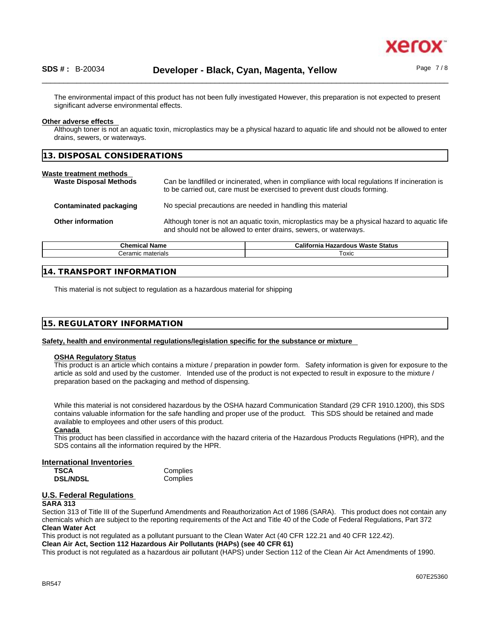

The environmental impact of this product has not been fully investigated However, this preparation is not expected to present significant adverse environmental effects.

#### **Other adverse effects**

Although toner is not an aquatic toxin, microplastics may be a physical hazard to aquatic life and should not be allowed to enter drains, sewers, or waterways.

| 13. DISPOSAL CONSIDERATIONS                              |                                                                                                                                                                             |  |
|----------------------------------------------------------|-----------------------------------------------------------------------------------------------------------------------------------------------------------------------------|--|
| Waste treatment methods<br><b>Waste Disposal Methods</b> | Can be landfilled or incinerated, when in compliance with local regulations If incineration is<br>to be carried out, care must be exercised to prevent dust clouds forming. |  |

| Contaminated packaging | No special precautions are needed in handling this material                                                                                                        |
|------------------------|--------------------------------------------------------------------------------------------------------------------------------------------------------------------|
| Other information      | Although toner is not an aquatic toxin, microplastics may be a physical hazard to aquatic life<br>and should not be allowed to enter drains, sewers, or waterways. |

| Chemic.<br>' Name | <b>Waste Status</b><br>Califor<br>------<br><b>NIC</b><br>THZ<br>zaroot<br>пa. |
|-------------------|--------------------------------------------------------------------------------|
| materials         | $\overline{\phantom{0}}$                                                       |
| ∴eramıc           | Toxic                                                                          |

#### **14. TRANSPORT INFORMATION**

This material is not subject to regulation as a hazardous material for shipping

#### **15. REGULATORY INFORMATION**

**Safety, health and environmental regulations/legislation specific for the substance or mixture**

#### **OSHA Regulatory Status**

This product is an article which contains a mixture / preparation in powder form. Safety information is given for exposure to the article as sold and used by the customer. Intended use of the product is not expected to result in exposure to the mixture / preparation based on the packaging and method of dispensing.

While this material is not considered hazardous by the OSHA hazard Communication Standard (29 CFR 1910.1200), this SDS contains valuable information for the safe handling and proper use of the product. This SDS should be retained and made available to employees and other users of this product.

#### **Canada**

This product has been classified in accordance with the hazard criteria of the Hazardous Products Regulations (HPR), and the SDS contains all the information required by the HPR.

#### **International Inventories**

| TSCA            | Complies |
|-----------------|----------|
| <b>DSL/NDSL</b> | Complies |

#### **U.S. Federal Regulations**

#### **SARA 313**

Section 313 of Title III of the Superfund Amendments and Reauthorization Act of 1986 (SARA). This product does not contain any chemicals which are subject to the reporting requirements of the Act and Title 40 of the Code of Federal Regulations, Part 372 **Clean Water Act**

This product is not regulated as a pollutant pursuant to the Clean Water Act (40 CFR 122.21 and 40 CFR 122.42).

**Clean Air Act,Section 112 Hazardous Air Pollutants (HAPs) (see 40 CFR 61)**

This product is not regulated as a hazardous air pollutant (HAPS) under Section 112 of the Clean Air Act Amendments of 1990.